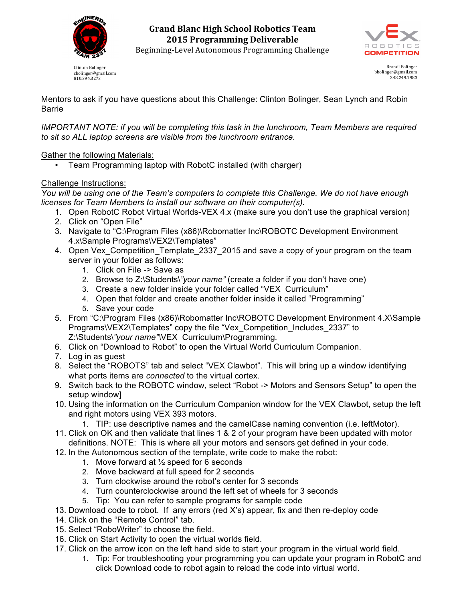

Clinton Bolinger cbolinger@gmail.com 810.394.3273



Brandi Bolinger bbolinger@gmail.com 248.249.1983

Mentors to ask if you have questions about this Challenge: Clinton Bolinger, Sean Lynch and Robin Barrie

*IMPORTANT NOTE: if you will be completing this task in the lunchroom, Team Members are required to sit so ALL laptop screens are visible from the lunchroom entrance.*

## Gather the following Materials:

• Team Programming laptop with RobotC installed (with charger)

## Challenge Instructions:

*You will be using one of the Team's computers to complete this Challenge. We do not have enough licenses for Team Members to install our software on their computer(s).*

- 1. Open RobotC Robot Virtual Worlds-VEX 4.x (make sure you don't use the graphical version)
- 2. Click on "Open File"
- 3. Navigate to "C:\Program Files (x86)\Robomatter Inc\ROBOTC Development Environment 4.x\Sample Programs\VEX2\Templates"
- 4. Open Vex\_Competition\_Template\_2337\_2015 and save a copy of your program on the team server in your folder as follows:
	- 1. Click on File -> Save as
	- 2. Browse to Z:\Students\*"your name"* (create a folder if you don't have one)
	- 3. Create a new folder inside your folder called "VEX Curriculum"
	- 4. Open that folder and create another folder inside it called "Programming"
	- 5. Save your code
- 5. From "C:\Program Files (x86)\Robomatter Inc\ROBOTC Development Environment 4.X\Sample Programs\VEX2\Templates" copy the file "Vex\_Competition\_Includes\_2337" to Z:\Students\*"your name"\*VEX Curriculum\Programming*.*
- 6. Click on "Download to Robot" to open the Virtual World Curriculum Companion.
- 7. Log in as guest
- 8. Select the "ROBOTS" tab and select "VEX Clawbot". This will bring up a window identifying what ports items are *connected* to the virtual cortex.
- 9. Switch back to the ROBOTC window, select "Robot -> Motors and Sensors Setup" to open the setup window]
- 10. Using the information on the Curriculum Companion window for the VEX Clawbot, setup the left and right motors using VEX 393 motors.
	- 1. TIP: use descriptive names and the camelCase naming convention (i.e. leftMotor).
- 11. Click on OK and then validate that lines 1 & 2 of your program have been updated with motor definitions. NOTE: This is where all your motors and sensors get defined in your code.
- 12. In the Autonomous section of the template, write code to make the robot:
	- 1. Move forward at  $\frac{1}{2}$  speed for 6 seconds
	- 2. Move backward at full speed for 2 seconds
	- 3. Turn clockwise around the robot's center for 3 seconds
	- 4. Turn counterclockwise around the left set of wheels for 3 seconds
	- 5. Tip: You can refer to sample programs for sample code
- 13. Download code to robot. If any errors (red X's) appear, fix and then re-deploy code
- 14. Click on the "Remote Control" tab.
- 15. Select "RoboWriter" to choose the field.
- 16. Click on Start Activity to open the virtual worlds field.
- 17. Click on the arrow icon on the left hand side to start your program in the virtual world field.
	- 1. Tip: For troubleshooting your programming you can update your program in RobotC and click Download code to robot again to reload the code into virtual world.